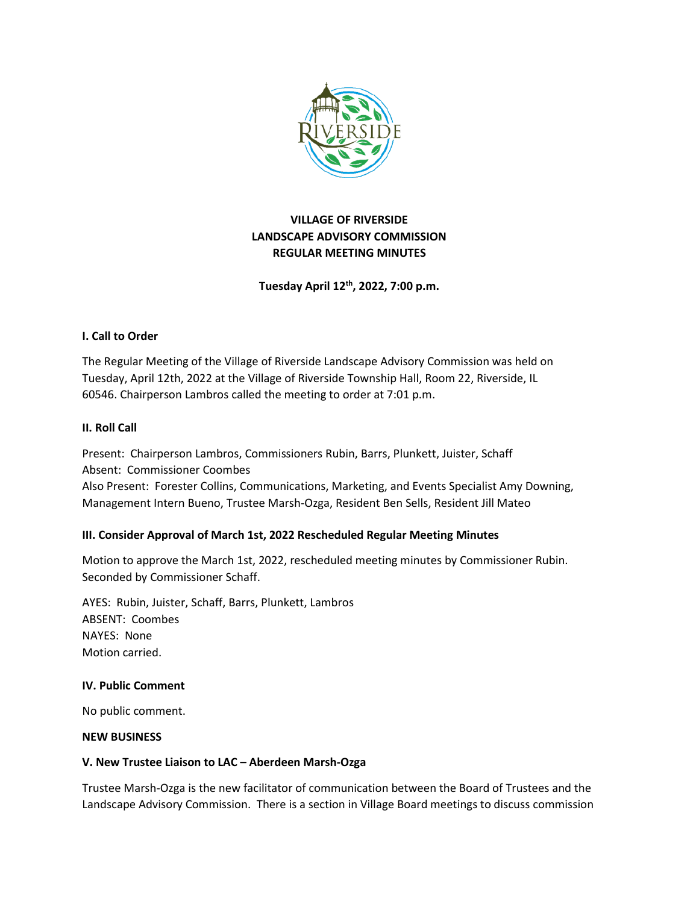

# **VILLAGE OF RIVERSIDE LANDSCAPE ADVISORY COMMISSION REGULAR MEETING MINUTES**

**Tuesday April 12th, 2022, 7:00 p.m.**

# **I. Call to Order**

The Regular Meeting of the Village of Riverside Landscape Advisory Commission was held on Tuesday, April 12th, 2022 at the Village of Riverside Township Hall, Room 22, Riverside, IL 60546. Chairperson Lambros called the meeting to order at 7:01 p.m.

## **II. Roll Call**

Present: Chairperson Lambros, Commissioners Rubin, Barrs, Plunkett, Juister, Schaff Absent: Commissioner Coombes Also Present: Forester Collins, Communications, Marketing, and Events Specialist Amy Downing, Management Intern Bueno, Trustee Marsh-Ozga, Resident Ben Sells, Resident Jill Mateo

## **III. Consider Approval of March 1st, 2022 Rescheduled Regular Meeting Minutes**

Motion to approve the March 1st, 2022, rescheduled meeting minutes by Commissioner Rubin. Seconded by Commissioner Schaff.

AYES: Rubin, Juister, Schaff, Barrs, Plunkett, Lambros ABSENT: Coombes NAYES: None Motion carried.

## **IV. Public Comment**

No public comment.

### **NEW BUSINESS**

## **V. New Trustee Liaison to LAC – Aberdeen Marsh-Ozga**

Trustee Marsh-Ozga is the new facilitator of communication between the Board of Trustees and the Landscape Advisory Commission. There is a section in Village Board meetings to discuss commission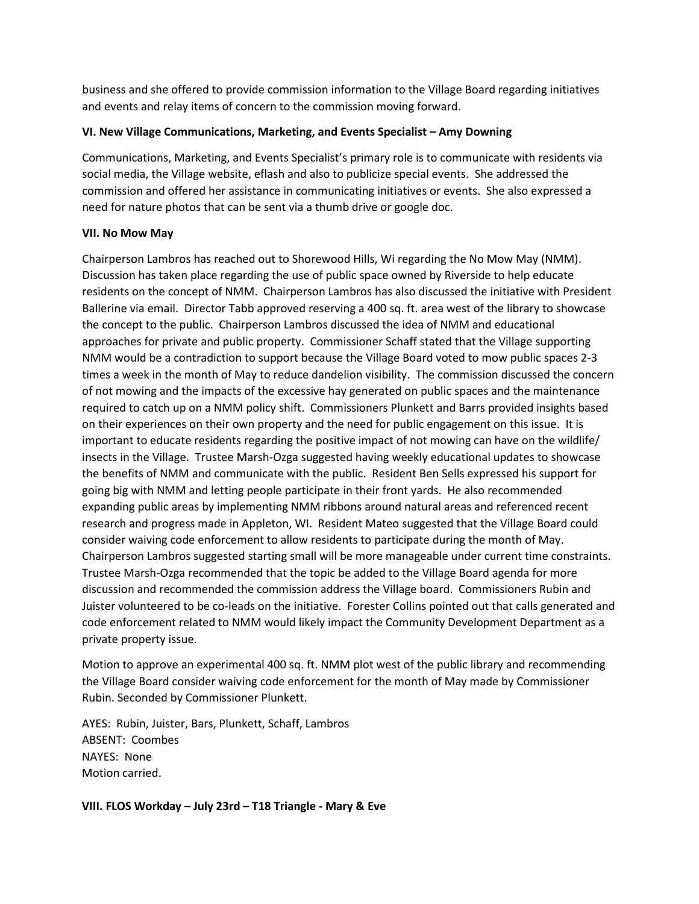business and she offered to provide commission information to the Village Board regarding initiatives and events and relay items of concern to the commission moving forward.

## **VI. New Village Communications, Marketing, and Events Specialist – Amy Downing**

Communications, Marketing, and Events Specialist's primary role is to communicate with residents via social media, the Village website, eflash and also to publicize special events. She addressed the commission and offered her assistance in communicating initiatives or events. She also expressed a need for nature photos that can be sent via a thumb drive or google doc.

## **VII. No Mow May**

Chairperson Lambros has reached out to Shorewood Hills, Wi regarding the No Mow May (NMM). Discussion has taken place regarding the use of public space owned by Riverside to help educate residents on the concept of NMM. Chairperson Lambros has also discussed the initiative with President Ballerine via email. Director Tabb approved reserving a 400 sq. ft. area west of the library to showcase the concept to the public. Chairperson Lambros discussed the idea of NMM and educational approaches for private and public property. Commissioner Schaff stated that the Village supporting NMM would be a contradiction to support because the Village Board voted to mow public spaces 2-3 times a week in the month of May to reduce dandelion visibility. The commission discussed the concern of not mowing and the impacts of the excessive hay generated on public spaces and the maintenance required to catch up on a NMM policy shift. Commissioners Plunkett and Barrs provided insights based on their experiences on their own property and the need for public engagement on this issue. It is important to educate residents regarding the positive impact of not mowing can have on the wildlife/ insects in the Village. Trustee Marsh-Ozga suggested having weekly educational updates to showcase the benefits of NMM and communicate with the public. Resident Ben Sells expressed his support for going big with NMM and letting people participate in their front yards. He also recommended expanding public areas by implementing NMM ribbons around natural areas and referenced recent research and progress made in Appleton, WI. Resident Mateo suggested that the Village Board could consider waiving code enforcement to allow residents to participate during the month of May. Chairperson Lambros suggested starting small will be more manageable under current time constraints. Trustee Marsh-Ozga recommended that the topic be added to the Village Board agenda for more discussion and recommended the commission address the Village board. Commissioners Rubin and Juister volunteered to be co-leads on the initiative. Forester Collins pointed out that calls generated and code enforcement related to NMM would likely impact the Community Development Department as a private property issue.

Motion to approve an experimental 400 sq. ft. NMM plot west of the public library and recommending the Village Board consider waiving code enforcement for the month of May made by Commissioner Rubin. Seconded by Commissioner Plunkett.

AYES: Rubin, Juister, Bars, Plunkett, Schaff, Lambros ABSENT: Coombes NAYES: None Motion carried.

**VIII. FLOS Workday – July 23rd – T18 Triangle - Mary & Eve**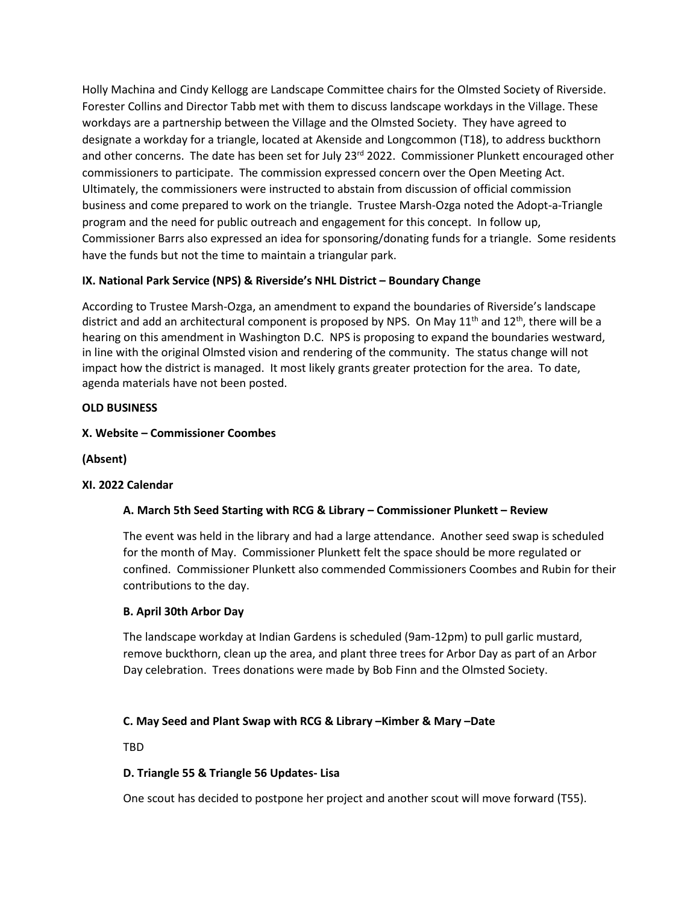Holly Machina and Cindy Kellogg are Landscape Committee chairs for the Olmsted Society of Riverside. Forester Collins and Director Tabb met with them to discuss landscape workdays in the Village. These workdays are a partnership between the Village and the Olmsted Society. They have agreed to designate a workday for a triangle, located at Akenside and Longcommon (T18), to address buckthorn and other concerns. The date has been set for July 23<sup>rd</sup> 2022. Commissioner Plunkett encouraged other commissioners to participate. The commission expressed concern over the Open Meeting Act. Ultimately, the commissioners were instructed to abstain from discussion of official commission business and come prepared to work on the triangle. Trustee Marsh-Ozga noted the Adopt-a-Triangle program and the need for public outreach and engagement for this concept. In follow up, Commissioner Barrs also expressed an idea for sponsoring/donating funds for a triangle. Some residents have the funds but not the time to maintain a triangular park.

# **IX. National Park Service (NPS) & Riverside's NHL District – Boundary Change**

According to Trustee Marsh-Ozga, an amendment to expand the boundaries of Riverside's landscape district and add an architectural component is proposed by NPS. On May  $11<sup>th</sup>$  and  $12<sup>th</sup>$ , there will be a hearing on this amendment in Washington D.C. NPS is proposing to expand the boundaries westward, in line with the original Olmsted vision and rendering of the community. The status change will not impact how the district is managed. It most likely grants greater protection for the area. To date, agenda materials have not been posted.

# **OLD BUSINESS**

# **X. Website – Commissioner Coombes**

**(Absent)** 

## **XI. 2022 Calendar**

# **A. March 5th Seed Starting with RCG & Library – Commissioner Plunkett – Review**

The event was held in the library and had a large attendance. Another seed swap is scheduled for the month of May. Commissioner Plunkett felt the space should be more regulated or confined. Commissioner Plunkett also commended Commissioners Coombes and Rubin for their contributions to the day.

## **B. April 30th Arbor Day**

The landscape workday at Indian Gardens is scheduled (9am-12pm) to pull garlic mustard, remove buckthorn, clean up the area, and plant three trees for Arbor Day as part of an Arbor Day celebration. Trees donations were made by Bob Finn and the Olmsted Society.

## **C. May Seed and Plant Swap with RCG & Library –Kimber & Mary –Date**

TBD

## **D. Triangle 55 & Triangle 56 Updates- Lisa**

One scout has decided to postpone her project and another scout will move forward (T55).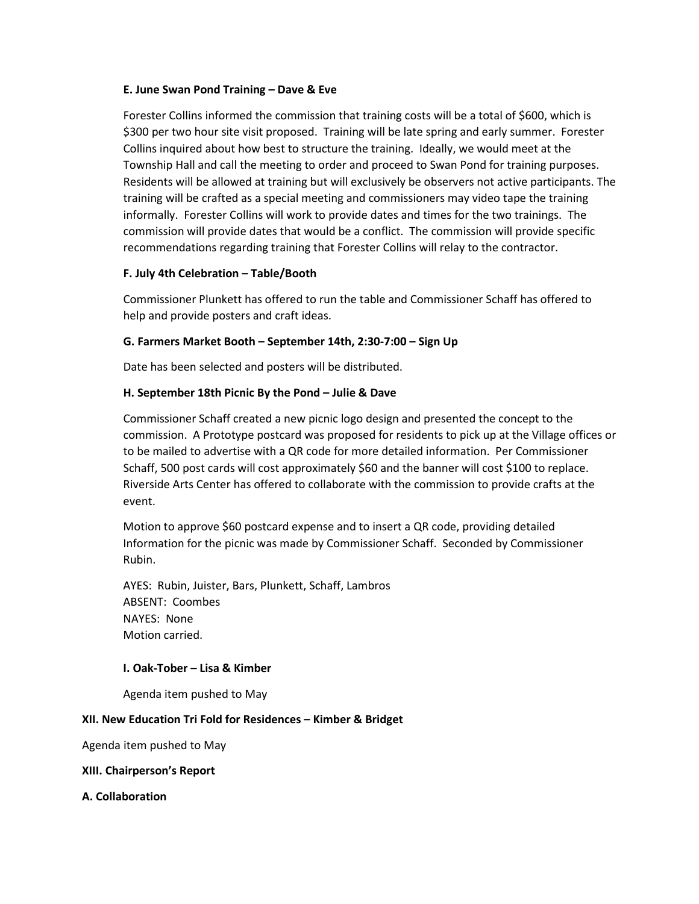### **E. June Swan Pond Training – Dave & Eve**

Forester Collins informed the commission that training costs will be a total of \$600, which is \$300 per two hour site visit proposed. Training will be late spring and early summer. Forester Collins inquired about how best to structure the training. Ideally, we would meet at the Township Hall and call the meeting to order and proceed to Swan Pond for training purposes. Residents will be allowed at training but will exclusively be observers not active participants. The training will be crafted as a special meeting and commissioners may video tape the training informally. Forester Collins will work to provide dates and times for the two trainings. The commission will provide dates that would be a conflict. The commission will provide specific recommendations regarding training that Forester Collins will relay to the contractor.

## **F. July 4th Celebration – Table/Booth**

Commissioner Plunkett has offered to run the table and Commissioner Schaff has offered to help and provide posters and craft ideas.

### **G. Farmers Market Booth – September 14th, 2:30-7:00 – Sign Up**

Date has been selected and posters will be distributed.

### **H. September 18th Picnic By the Pond – Julie & Dave**

Commissioner Schaff created a new picnic logo design and presented the concept to the commission. A Prototype postcard was proposed for residents to pick up at the Village offices or to be mailed to advertise with a QR code for more detailed information. Per Commissioner Schaff, 500 post cards will cost approximately \$60 and the banner will cost \$100 to replace. Riverside Arts Center has offered to collaborate with the commission to provide crafts at the event.

Motion to approve \$60 postcard expense and to insert a QR code, providing detailed Information for the picnic was made by Commissioner Schaff. Seconded by Commissioner Rubin.

AYES: Rubin, Juister, Bars, Plunkett, Schaff, Lambros ABSENT: Coombes NAYES: None Motion carried.

### **I. Oak-Tober – Lisa & Kimber**

Agenda item pushed to May

### **XII. New Education Tri Fold for Residences – Kimber & Bridget**

Agenda item pushed to May

### **XIII. Chairperson's Report**

### **A. Collaboration**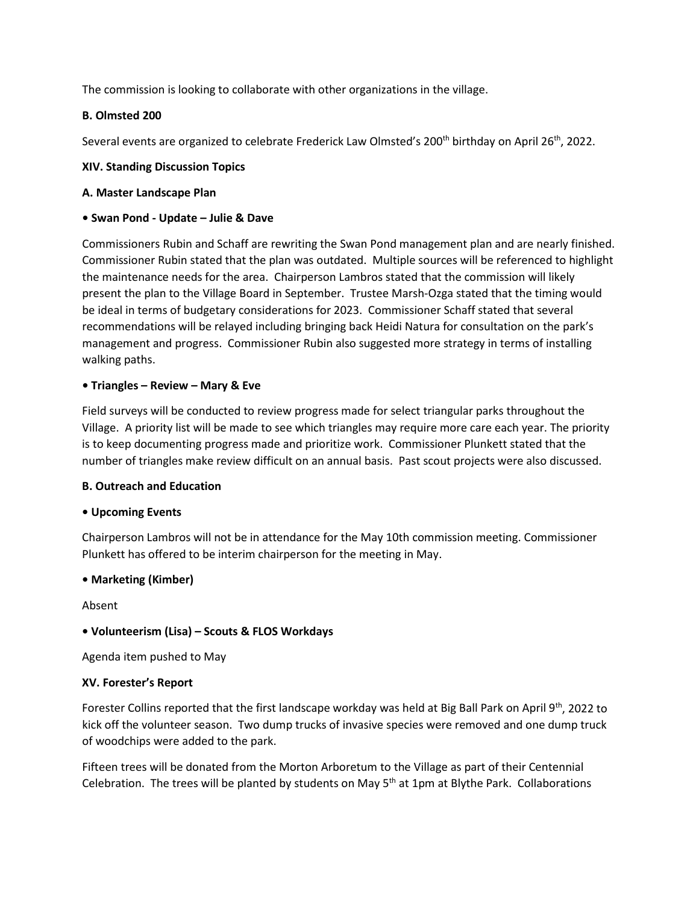The commission is looking to collaborate with other organizations in the village.

# **B. Olmsted 200**

Several events are organized to celebrate Frederick Law Olmsted's 200<sup>th</sup> birthday on April 26<sup>th</sup>, 2022.

## **XIV. Standing Discussion Topics**

## **A. Master Landscape Plan**

# **• Swan Pond - Update – Julie & Dave**

Commissioners Rubin and Schaff are rewriting the Swan Pond management plan and are nearly finished. Commissioner Rubin stated that the plan was outdated. Multiple sources will be referenced to highlight the maintenance needs for the area. Chairperson Lambros stated that the commission will likely present the plan to the Village Board in September. Trustee Marsh-Ozga stated that the timing would be ideal in terms of budgetary considerations for 2023. Commissioner Schaff stated that several recommendations will be relayed including bringing back Heidi Natura for consultation on the park's management and progress. Commissioner Rubin also suggested more strategy in terms of installing walking paths.

# **• Triangles – Review – Mary & Eve**

Field surveys will be conducted to review progress made for select triangular parks throughout the Village. A priority list will be made to see which triangles may require more care each year. The priority is to keep documenting progress made and prioritize work. Commissioner Plunkett stated that the number of triangles make review difficult on an annual basis. Past scout projects were also discussed.

## **B. Outreach and Education**

## **• Upcoming Events**

Chairperson Lambros will not be in attendance for the May 10th commission meeting. Commissioner Plunkett has offered to be interim chairperson for the meeting in May.

## **• Marketing (Kimber)**

Absent

# **• Volunteerism (Lisa) – Scouts & FLOS Workdays**

Agenda item pushed to May

## **XV. Forester's Report**

Forester Collins reported that the first landscape workday was held at Big Ball Park on April 9<sup>th</sup>, 2022 to kick off the volunteer season. Two dump trucks of invasive species were removed and one dump truck of woodchips were added to the park.

Fifteen trees will be donated from the Morton Arboretum to the Village as part of their Centennial Celebration. The trees will be planted by students on May  $5<sup>th</sup>$  at 1pm at Blythe Park. Collaborations